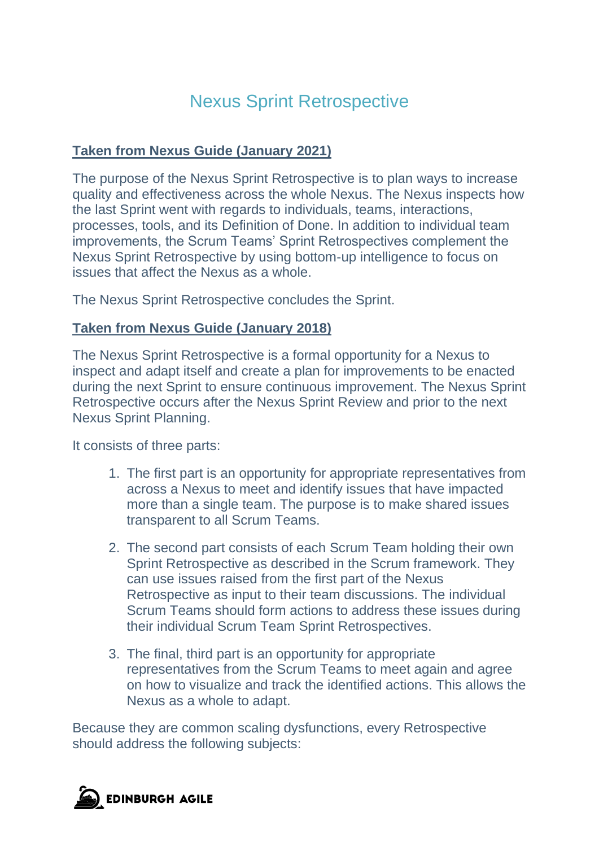## Nexus Sprint Retrospective

## **Taken from Nexus Guide (January 2021)**

The purpose of the Nexus Sprint Retrospective is to plan ways to increase quality and effectiveness across the whole Nexus. The Nexus inspects how the last Sprint went with regards to individuals, teams, interactions, processes, tools, and its Definition of Done. In addition to individual team improvements, the Scrum Teams' Sprint Retrospectives complement the Nexus Sprint Retrospective by using bottom-up intelligence to focus on issues that affect the Nexus as a whole.

The Nexus Sprint Retrospective concludes the Sprint.

## **Taken from Nexus Guide (January 2018)**

The Nexus Sprint Retrospective is a formal opportunity for a Nexus to inspect and adapt itself and create a plan for improvements to be enacted during the next Sprint to ensure continuous improvement. The Nexus Sprint Retrospective occurs after the Nexus Sprint Review and prior to the next Nexus Sprint Planning.

It consists of three parts:

- 1. The first part is an opportunity for appropriate representatives from across a Nexus to meet and identify issues that have impacted more than a single team. The purpose is to make shared issues transparent to all Scrum Teams.
- 2. The second part consists of each Scrum Team holding their own Sprint Retrospective as described in the Scrum framework. They can use issues raised from the first part of the Nexus Retrospective as input to their team discussions. The individual Scrum Teams should form actions to address these issues during their individual Scrum Team Sprint Retrospectives.
- 3. The final, third part is an opportunity for appropriate representatives from the Scrum Teams to meet again and agree on how to visualize and track the identified actions. This allows the Nexus as a whole to adapt.

Because they are common scaling dysfunctions, every Retrospective should address the following subjects: